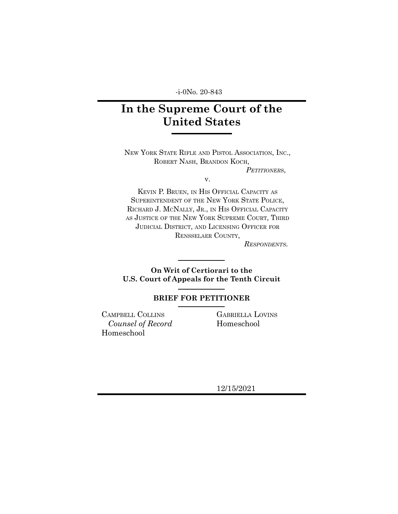-i-0No. 20-843

# **In the Supreme Court of the United States**

NEW YORK STATE RIFLE AND PISTOL ASSOCIATION, INC., ROBERT NASH, BRANDON KOCH,

*PETITIONER*S,

v.

KEVIN P. BRUEN, IN HIS OFFICIAL CAPACITY AS SUPERINTENDENT OF THE NEW YORK STATE POLICE, RICHARD J. MCNALLY, JR., IN HIS OFFICIAL CAPACITY AS JUSTICE OF THE NEW YORK SUPREME COURT, THIRD JUDICIAL DISTRICT, AND LICENSING OFFICER FOR RENSSELAER COUNTY,

*RESPONDENTS*.

**On Writ of Certiorari to the U.S. Court of Appeals for the Tenth Circuit**

# **BRIEF FOR PETITIONER**

CAMPBELL COLLINS *Counsel of Record* Homeschool

GABRIELLA LOVINS Homeschool

12/15/2021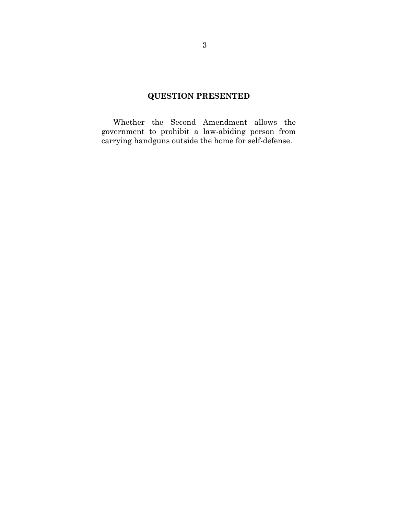# **QUESTION PRESENTED**

Whether the Second Amendment allows the government to prohibit a law-abiding person from carrying handguns outside the home for self-defense.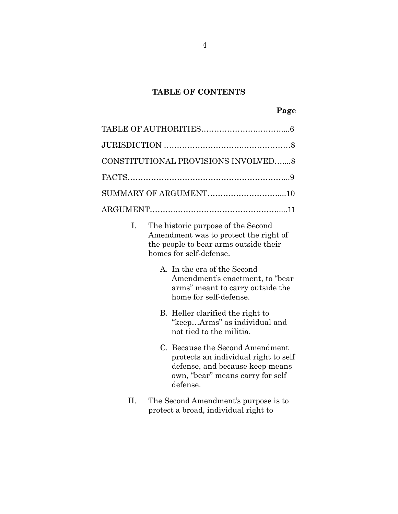# **TABLE OF CONTENTS**

| CONSTITUTIONAL PROVISIONS INVOLVED 8 |  |
|--------------------------------------|--|
|                                      |  |
|                                      |  |
|                                      |  |

- I. The historic purpose of the Second Amendment was to protect the right of the people to bear arms outside their homes for self-defense.
	- A. In the era of the Second Amendment's enactment, to "bear arms" meant to carry outside the home for self-defense.
	- B. Heller clarified the right to "keep…Arms" as individual and not tied to the militia.
	- C. Because the Second Amendment protects an individual right to self defense, and because keep means own, "bear" means carry for self defense.
- II. The Second Amendment's purpose is to protect a broad, individual right to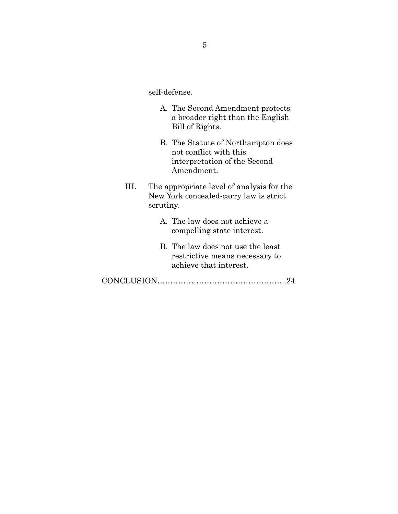self-defense.

- A. The Second Amendment protects a broader right than the English Bill of Rights.
- B. The Statute of Northampton does not conflict with this interpretation of the Second Amendment.
- III. The appropriate level of analysis for the New York concealed-carry law is strict scrutiny.
	- A. The law does not achieve a compelling state interest.
	- B. The law does not use the least restrictive means necessary to achieve that interest.
- CONCLUSION…………………………………………..24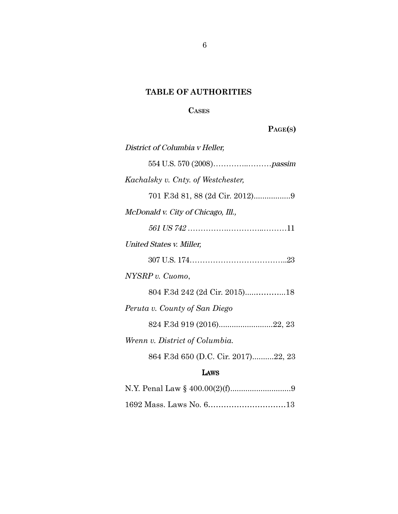# **TABLE OF AUTHORITIES**

# **CASES**

# **PAGE(S)**

| District of Columbia v Heller,      |
|-------------------------------------|
|                                     |
| Kachalsky v. Cnty. of Westchester,  |
|                                     |
| McDonald v. City of Chicago, Ill.,  |
|                                     |
| United States v. Miller,            |
|                                     |
| NYSRP v. Cuomo,                     |
| 804 F.3d 242 (2d Cir. 2015)18       |
| Peruta v. County of San Diego       |
| 824 F.3d 919 (2016)22, 23           |
| Wrenn v. District of Columbia.      |
| 864 F.3d 650 (D.C. Cir. 2017)22, 23 |
| LAWS                                |
|                                     |
|                                     |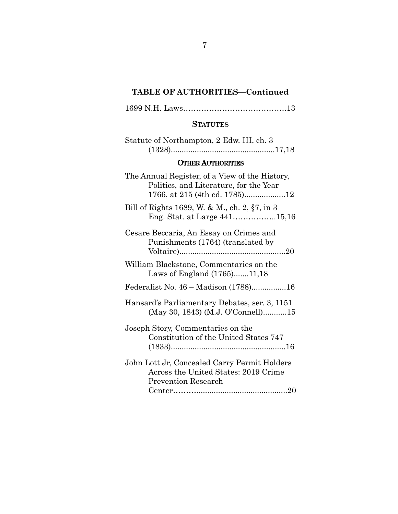# **TABLE OF AUTHORITIES—Continued**

1699 N.H. Laws………………………………….13

#### **STATUTES**

| Statute of Northampton, 2 Edw. III, ch. 3 |
|-------------------------------------------|
|                                           |

# OTHER AUTHORITIES

| The Annual Register, of a View of the History,<br>Politics, and Literature, for the Year<br>1766, at 215 (4th ed. 1785)12 |
|---------------------------------------------------------------------------------------------------------------------------|
| Bill of Rights 1689, W. & M., ch. 2, §7, in 3<br>Eng. Stat. at Large 44115,16                                             |
| Cesare Beccaria, An Essay on Crimes and<br>Punishments (1764) (translated by                                              |
| William Blackstone, Commentaries on the<br>Laws of England (1765)11,18                                                    |
| Federalist No. 46 – Madison (1788)16                                                                                      |
| Hansard's Parliamentary Debates, ser. 3, 1151<br>(May 30, 1843) (M.J. O'Connell)15                                        |
| Joseph Story, Commentaries on the<br>Constitution of the United States 747                                                |
| John Lott Jr, Concealed Carry Permit Holders<br>Across the United States: 2019 Crime<br><b>Prevention Research</b>        |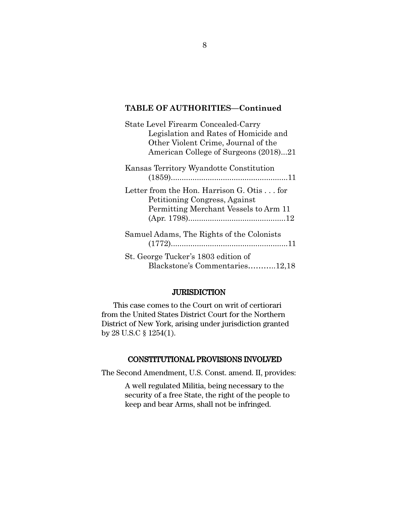# **TABLE OF AUTHORITIES—Continued**

| State Level Firearm Concealed-Carry                                                                                 |
|---------------------------------------------------------------------------------------------------------------------|
| Legislation and Rates of Homicide and                                                                               |
| Other Violent Crime, Journal of the                                                                                 |
| American College of Surgeons (2018)21                                                                               |
| Kansas Territory Wyandotte Constitution                                                                             |
| Letter from the Hon. Harrison G. Otis for<br>Petitioning Congress, Against<br>Permitting Merchant Vessels to Arm 11 |
|                                                                                                                     |
| Samuel Adams, The Rights of the Colonists                                                                           |
| St. George Tucker's 1803 edition of<br>Blackstone's Commentaries12,18                                               |

### **JURISDICTION**

This case comes to the Court on writ of certiorari from the United States District Court for the Northern District of New York, arising under jurisdiction granted by 28 U.S.C § 1254(1).

# CONSTITUTIONAL PROVISIONS INVOLVED

The Second Amendment, U.S. Const. amend. II, provides:

A well regulated Militia, being necessary to the security of a free State, the right of the people to keep and bear Arms, shall not be infringed.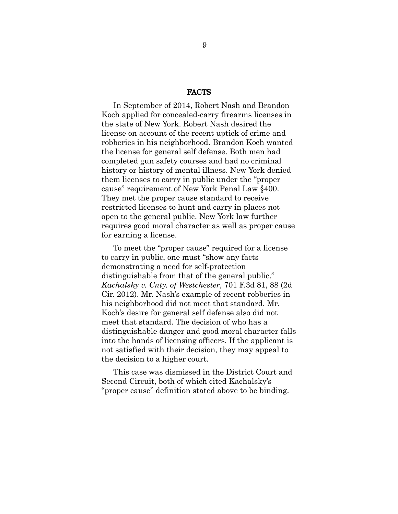#### FACTS

In September of 2014, Robert Nash and Brandon Koch applied for concealed-carry firearms licenses in the state of New York. Robert Nash desired the license on account of the recent uptick of crime and robberies in his neighborhood. Brandon Koch wanted the license for general self defense. Both men had completed gun safety courses and had no criminal history or history of mental illness. New York denied them licenses to carry in public under the "proper cause" requirement of New York Penal Law §400. They met the proper cause standard to receive restricted licenses to hunt and carry in places not open to the general public. New York law further requires good moral character as well as proper cause for earning a license.

To meet the "proper cause" required for a license to carry in public, one must "show any facts demonstrating a need for self-protection distinguishable from that of the general public." *Kachalsky v. Cnty. of Westchester*, 701 F.3d 81, 88 (2d Cir. 2012). Mr. Nash's example of recent robberies in his neighborhood did not meet that standard. Mr. Koch's desire for general self defense also did not meet that standard. The decision of who has a distinguishable danger and good moral character falls into the hands of licensing officers. If the applicant is not satisfied with their decision, they may appeal to the decision to a higher court.

This case was dismissed in the District Court and Second Circuit, both of which cited Kachalsky's "proper cause" definition stated above to be binding.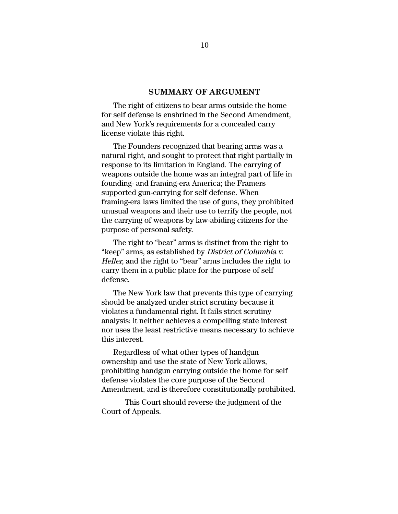#### **SUMMARY OF ARGUMENT**

The right of citizens to bear arms outside the home for self defense is enshrined in the Second Amendment, and New York's requirements for a concealed carry license violate this right.

The Founders recognized that bearing arms was a natural right, and sought to protect that right partially in response to its limitation in England. The carrying of weapons outside the home was an integral part of life in founding- and framing-era America; the Framers supported gun-carrying for self defense. When framing-era laws limited the use of guns, they prohibited unusual weapons and their use to terrify the people, not the carrying of weapons by law-abiding citizens for the purpose of personal safety.

The right to "bear" arms is distinct from the right to "keep" arms, as established by District of Columbia v. Heller, and the right to "bear" arms includes the right to carry them in a public place for the purpose of self defense.

The New York law that prevents this type of carrying should be analyzed under strict scrutiny because it violates a fundamental right. It fails strict scrutiny analysis: it neither achieves a compelling state interest nor uses the least restrictive means necessary to achieve this interest.

Regardless of what other types of handgun ownership and use the state of New York allows, prohibiting handgun carrying outside the home for self defense violates the core purpose of the Second Amendment, and is therefore constitutionally prohibited.

This Court should reverse the judgment of the Court of Appeals.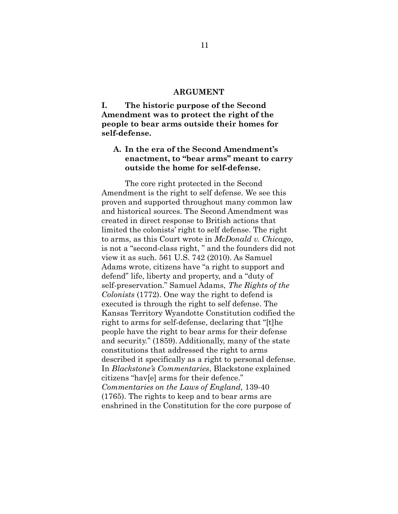#### **ARGUMENT**

**I. The historic purpose of the Second Amendment was to protect the right of the people to bear arms outside their homes for self-defense.**

# **A. In the era of the Second Amendment's enactment, to "bear arms" meant to carry outside the home for self-defense.**

The core right protected in the Second Amendment is the right to self defense. We see this proven and supported throughout many common law and historical sources. The Second Amendment was created in direct response to British actions that limited the colonists' right to self defense. The right to arms, as this Court wrote in *McDonald v. Chicago*, is not a "second-class right, " and the founders did not view it as such. 561 U.S. 742 (2010). As Samuel Adams wrote, citizens have "a right to support and defend" life, liberty and property, and a "duty of self-preservation." Samuel Adams, *The Rights of the Colonists* (1772). One way the right to defend is executed is through the right to self defense. The Kansas Territory Wyandotte Constitution codified the right to arms for self-defense, declaring that "[t]he people have the right to bear arms for their defense and security." (1859). Additionally, many of the state constitutions that addressed the right to arms described it specifically as a right to personal defense. In *Blackstone's Commentaries*, Blackstone explained citizens "hav[e] arms for their defence." *Commentaries on the Laws of England,* 139-40 (1765). The rights to keep and to bear arms are enshrined in the Constitution for the core purpose of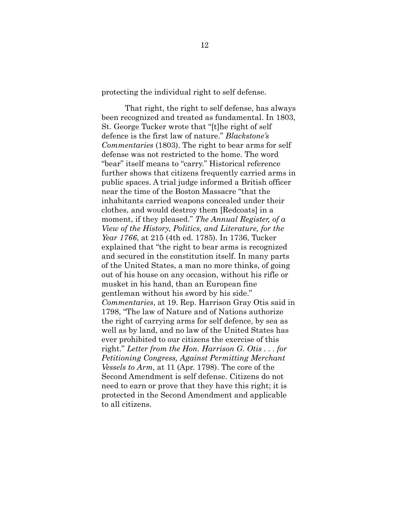protecting the individual right to self defense.

That right, the right to self defense, has always been recognized and treated as fundamental. In 1803, St. George Tucker wrote that "[t]he right of self defence is the first law of nature." *Blackstone's Commentaries* (1803). The right to bear arms for self defense was not restricted to the home. The word "bear" itself means to "carry." Historical reference further shows that citizens frequently carried arms in public spaces. A trial judge informed a British officer near the time of the Boston Massacre "that the inhabitants carried weapons concealed under their clothes, and would destroy them [Redcoats] in a moment, if they pleased." *The Annual Register, of a View of the History, Politics, and Literature, for the Year 1766*, at 215 (4th ed. 1785). In 1736, Tucker explained that "the right to bear arms is recognized and secured in the constitution itself. In many parts of the United States, a man no more thinks, of going out of his house on any occasion, without his rifle or musket in his hand, than an European fine gentleman without his sword by his side." *Commentaries*, at 19. Rep. Harrison Gray Otis said in 1798, "The law of Nature and of Nations authorize the right of carrying arms for self defence, by sea as well as by land, and no law of the United States has ever prohibited to our citizens the exercise of this right." *Letter from the Hon. Harrison G. Otis . . . for Petitioning Congress, Against Permitting Merchant Vessels to Arm,* at 11 (Apr. 1798). The core of the Second Amendment is self defense. Citizens do not need to earn or prove that they have this right; it is protected in the Second Amendment and applicable to all citizens.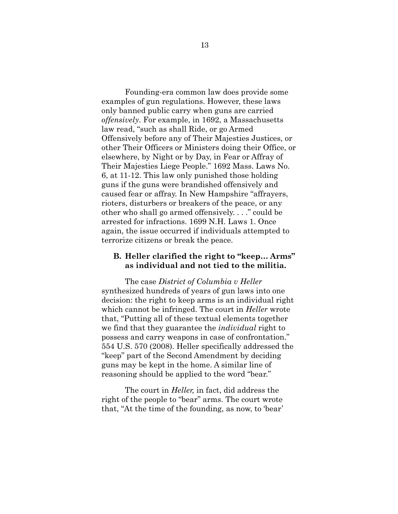Founding-era common law does provide some examples of gun regulations. However, these laws only banned public carry when guns are carried *offensively*. For example, in 1692, a Massachusetts law read, "such as shall Ride, or go Armed Offensively before any of Their Majesties Justices, or other Their Officers or Ministers doing their Office, or elsewhere, by Night or by Day, in Fear or Affray of Their Majesties Liege People." 1692 Mass. Laws No. 6, at 11-12. This law only punished those holding guns if the guns were brandished offensively and caused fear or affray. In New Hampshire "affrayers, rioters, disturbers or breakers of the peace, or any other who shall go armed offensively. . . ." could be arrested for infractions. 1699 N.H. Laws 1. Once again, the issue occurred if individuals attempted to terrorize citizens or break the peace.

## **B. Heller clarified the right to "keep… Arms" as individual and not tied to the militia.**

The case *District of Columbia v Heller* synthesized hundreds of years of gun laws into one decision: the right to keep arms is an individual right which cannot be infringed. The court in *Heller* wrote that, "Putting all of these textual elements together we find that they guarantee the *individual* right to possess and carry weapons in case of confrontation." 554 U.S. 570 (2008). Heller specifically addressed the "keep" part of the Second Amendment by deciding guns may be kept in the home. A similar line of reasoning should be applied to the word "bear."

The court in *Heller,* in fact, did address the right of the people to "bear" arms. The court wrote that, "At the time of the founding, as now, to 'bear'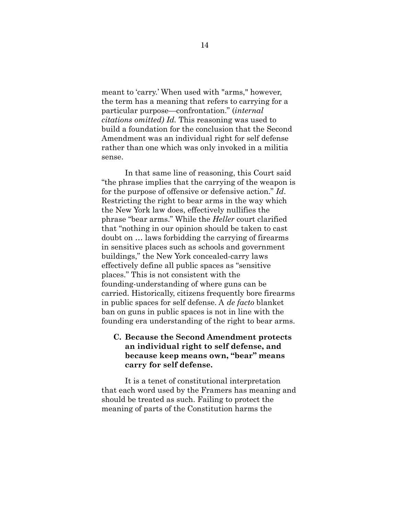meant to 'carry.' When used with "arms," however, the term has a meaning that refers to carrying for a particular purpose—confrontation." (*internal citations omitted) Id.* This reasoning was used to build a foundation for the conclusion that the Second Amendment was an individual right for self defense rather than one which was only invoked in a militia sense.

In that same line of reasoning, this Court said "the phrase implies that the carrying of the weapon is for the purpose of offensive or defensive action." *Id*. Restricting the right to bear arms in the way which the New York law does, effectively nullifies the phrase "bear arms." While the *Heller* court clarified that "nothing in our opinion should be taken to cast doubt on … laws forbidding the carrying of firearms in sensitive places such as schools and government buildings," the New York concealed-carry laws effectively define all public spaces as "sensitive places." This is not consistent with the founding-understanding of where guns can be carried. Historically, citizens frequently bore firearms in public spaces for self defense. A *de facto* blanket ban on guns in public spaces is not in line with the founding era understanding of the right to bear arms.

# **C. Because the Second Amendment protects an individual right to self defense, and because keep means own, "bear" means carry for self defense.**

It is a tenet of constitutional interpretation that each word used by the Framers has meaning and should be treated as such. Failing to protect the meaning of parts of the Constitution harms the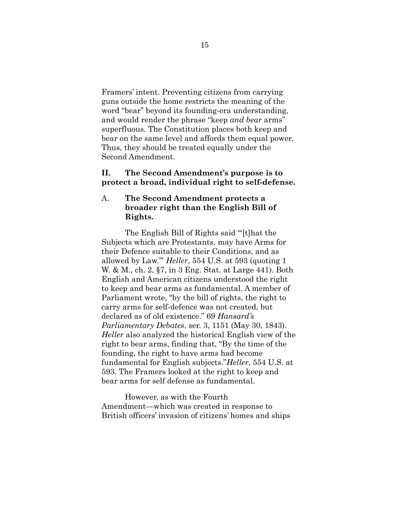Framers' intent. Preventing citizens from carrying guns outside the home restricts the meaning of the word "bear" beyond its founding-era understanding, and would render the phrase "keep *and bear* arms" superfluous. The Constitution places both keep and bear on the same level and affords them equal power. Thus, they should be treated equally under the Second Amendment.

# **II. The Second Amendment's purpose is to protect a broad, individual right to self-defense.**

# A. **The Second Amendment protects a broader right than the English Bill of Rights.**

The English Bill of Rights said "'[t]hat the Subjects which are Protestants, may have Arms for their Defence suitable to their Conditions, and as allowed by Law.'" *Heller*, 554 U.S. at 593 (quoting 1 W. & M., ch. 2, §7, in 3 Eng. Stat. at Large 441). Both English and American citizens understood the right to keep and bear arms as fundamental. A member of Parliament wrote, "by the bill of rights, the right to carry arms for self-defence was not created, but declared as of old existence." 69 *Hansard's Parliamentary Debates*, ser. 3, 1151 (May 30, 1843). *Heller* also analyzed the historical English view of the right to bear arms, finding that, "By the time of the founding, the right to have arms had become fundamental for English subjects."*Heller*, 554 U.S. at 593. The Framers looked at the right to keep and bear arms for self defense as fundamental.

However, as with the Fourth Amendment—which was created in response to British officers' invasion of citizens' homes and ships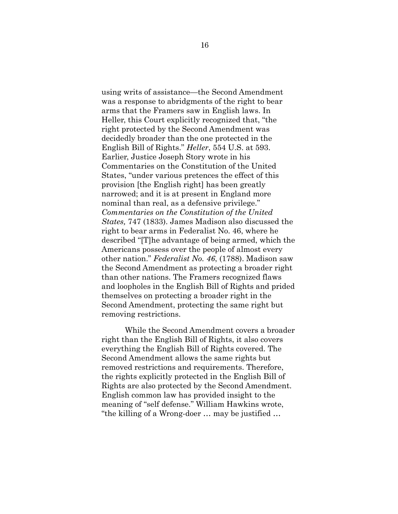using writs of assistance—the Second Amendment was a response to abridgments of the right to bear arms that the Framers saw in English laws. In Heller, this Court explicitly recognized that, "the right protected by the Second Amendment was decidedly broader than the one protected in the English Bill of Rights." *Heller*, 554 U.S. at 593. Earlier, Justice Joseph Story wrote in his Commentaries on the Constitution of the United States, "under various pretences the effect of this provision [the English right] has been greatly narrowed; and it is at present in England more nominal than real, as a defensive privilege." *Commentaries on the Constitution of the United States,* 747 (1833). James Madison also discussed the right to bear arms in Federalist No. 46, where he described "[T]he advantage of being armed, which the Americans possess over the people of almost every other nation." *Federalist No. 46*, (1788). Madison saw the Second Amendment as protecting a broader right than other nations. The Framers recognized flaws and loopholes in the English Bill of Rights and prided themselves on protecting a broader right in the Second Amendment, protecting the same right but removing restrictions.

While the Second Amendment covers a broader right than the English Bill of Rights, it also covers everything the English Bill of Rights covered. The Second Amendment allows the same rights but removed restrictions and requirements. Therefore, the rights explicitly protected in the English Bill of Rights are also protected by the Second Amendment. English common law has provided insight to the meaning of "self defense." William Hawkins wrote, "the killing of a Wrong-doer … may be justified …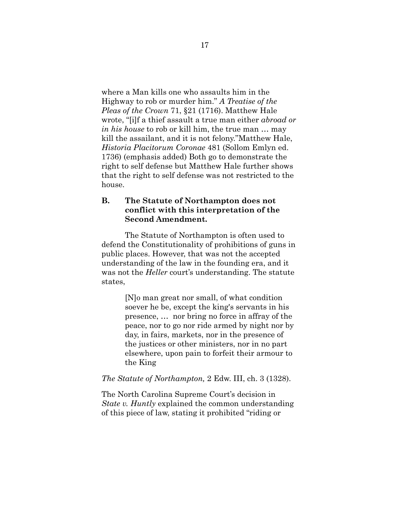where a Man kills one who assaults him in the Highway to rob or murder him." *A Treatise of the Pleas of the Crown* 71, §21 (1716). Matthew Hale wrote, "[i]f a thief assault a true man either *abroad or in his house* to rob or kill him, the true man … may kill the assailant, and it is not felony."Matthew Hale, *Historia Placitorum Coronae* 481 (Sollom Emlyn ed. 1736) (emphasis added) Both go to demonstrate the right to self defense but Matthew Hale further shows that the right to self defense was not restricted to the house.

# **B. The Statute of Northampton does not conflict with this interpretation of the Second Amendment.**

The Statute of Northampton is often used to defend the Constitutionality of prohibitions of guns in public places. However, that was not the accepted understanding of the law in the founding era, and it was not the *Heller* court's understanding. The statute states,

> [N]o man great nor small, of what condition soever he be, except the king's servants in his presence, … nor bring no force in affray of the peace, nor to go nor ride armed by night nor by day, in fairs, markets, nor in the presence of the justices or other ministers, nor in no part elsewhere, upon pain to forfeit their armour to the King

### *The Statute of Northampton,* 2 Edw. III, ch. 3 (1328).

The North Carolina Supreme Court's decision in *State v. Huntly* explained the common understanding of this piece of law, stating it prohibited "riding or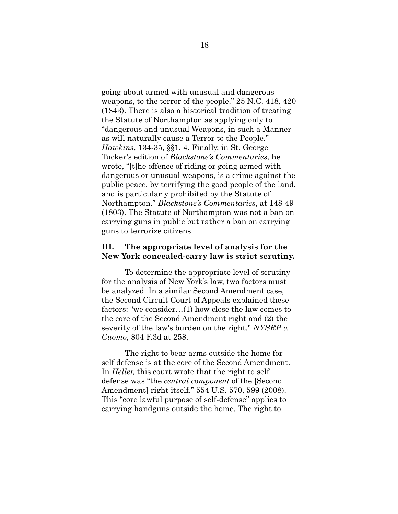going about armed with unusual and dangerous weapons, to the terror of the people." 25 N.C. 418, 420 (1843). There is also a historical tradition of treating the Statute of Northampton as applying only to "dangerous and unusual Weapons, in such a Manner as will naturally cause a Terror to the People," *Hawkins*, 134-35, §§1, 4. Finally, in St. George Tucker's edition of *Blackstone's Commentaries*, he wrote, "[t]he offence of riding or going armed with dangerous or unusual weapons, is a crime against the public peace, by terrifying the good people of the land, and is particularly prohibited by the Statute of Northampton." *Blackstone's Commentaries*, at 148-49 (1803). The Statute of Northampton was not a ban on carrying guns in public but rather a ban on carrying guns to terrorize citizens.

## **III. The appropriate level of analysis for the New York concealed-carry law is strict scrutiny.**

To determine the appropriate level of scrutiny for the analysis of New York's law, two factors must be analyzed. In a similar Second Amendment case, the Second Circuit Court of Appeals explained these factors: "we consider…(1) how close the law comes to the core of the Second Amendment right and (2) the severity of the law's burden on the right." *NYSRP v. Cuomo*, 804 F.3d at 258.

The right to bear arms outside the home for self defense is at the core of the Second Amendment. In *Heller,* this court wrote that the right to self defense was "the *central component* of the [Second Amendment] right itself." 554 U.S. 570, 599 (2008). This "core lawful purpose of self-defense" applies to carrying handguns outside the home. The right to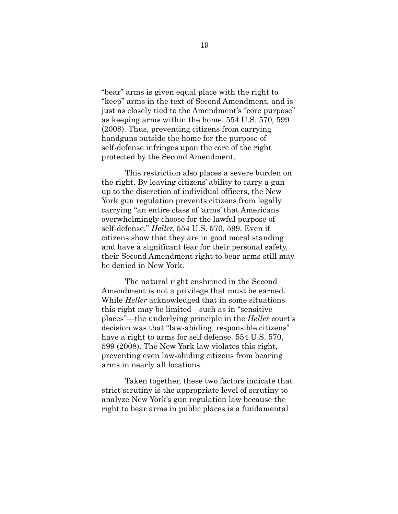"bear" arms is given equal place with the right to "keep" arms in the text of Second Amendment, and is just as closely tied to the Amendment's "core purpose" as keeping arms within the home. 554 U.S. 570, 599 (2008). Thus, preventing citizens from carrying handguns outside the home for the purpose of self-defense infringes upon the core of the right protected by the Second Amendment.

This restriction also places a severe burden on the right. By leaving citizens' ability to carry a gun up to the discretion of individual officers, the New York gun regulation prevents citizens from legally carrying "an entire class of 'arms' that Americans overwhelmingly choose for the lawful purpose of self-defense." *Heller,* 554 U.S. 570, 599. Even if citizens show that they are in good moral standing and have a significant fear for their personal safety, their Second Amendment right to bear arms still may be denied in New York.

The natural right enshrined in the Second Amendment is not a privilege that must be earned. While *Heller* acknowledged that in some situations this right may be limited—such as in "sensitive places"—the underlying principle in the *Heller* court's decision was that "law-abiding, responsible citizens" have a right to arms for self defense. 554 U.S. 570, 599 (2008). The New York law violates this right, preventing even law-abiding citizens from bearing arms in nearly all locations.

Taken together, these two factors indicate that strict scrutiny is the appropriate level of scrutiny to analyze New York's gun regulation law because the right to bear arms in public places is a fundamental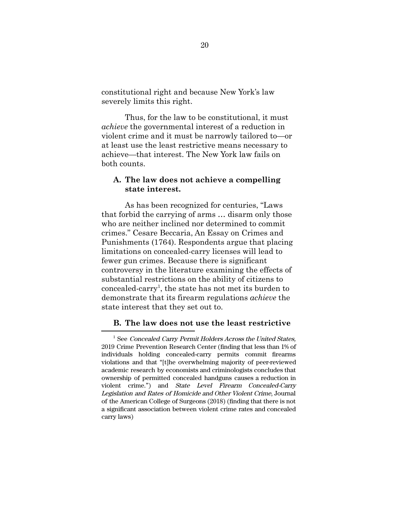constitutional right and because New York's law severely limits this right.

Thus, for the law to be constitutional, it must *achieve* the governmental interest of a reduction in violent crime and it must be narrowly tailored to—or at least use the least restrictive means necessary to achieve—that interest. The New York law fails on both counts.

# **A. The law does not achieve a compelling state interest.**

As has been recognized for centuries, "Laws that forbid the carrying of arms … disarm only those who are neither inclined nor determined to commit crimes." Cesare Beccaria, An Essay on Crimes and Punishments (1764). Respondents argue that placing limitations on concealed-carry licenses will lead to fewer gun crimes. Because there is significant controversy in the literature examining the effects of substantial restrictions on the ability of citizens to concealed-carry<sup>1</sup>, the state has not met its burden to demonstrate that its firearm regulations *achieve* the state interest that they set out to.

### **B. The law does not use the least restrictive**

<sup>&</sup>lt;sup>1</sup> See Concealed Carry Permit Holders Across the United States, 2019 Crime Prevention Research Center (finding that less than 1% of individuals holding concealed-carry permits commit firearms violations and that "[t]he overwhelming majority of peer-reviewed academic research by economists and criminologists concludes that ownership of permitted concealed handguns causes a reduction in violent crime.") and State Level Firearm Concealed-Carry Legislation and Rates of Homicide and Other Violent Crime, Journal of the American College of Surgeons (2018) (finding that there is not a significant association between violent crime rates and concealed carry laws)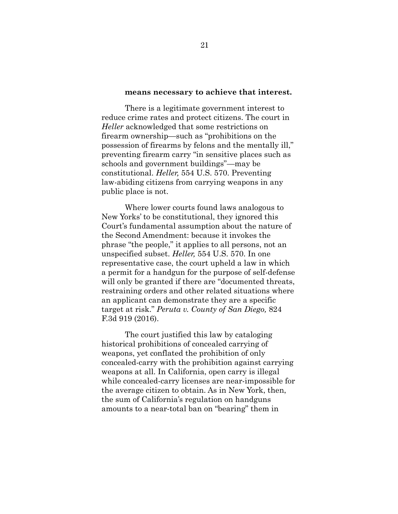#### **means necessary to achieve that interest.**

There is a legitimate government interest to reduce crime rates and protect citizens. The court in *Heller* acknowledged that some restrictions on firearm ownership—such as "prohibitions on the possession of firearms by felons and the mentally ill," preventing firearm carry "in sensitive places such as schools and government buildings"—may be constitutional. *Heller,* 554 U.S. 570. Preventing law-abiding citizens from carrying weapons in any public place is not.

Where lower courts found laws analogous to New Yorks' to be constitutional, they ignored this Court's fundamental assumption about the nature of the Second Amendment: because it invokes the phrase "the people," it applies to all persons, not an unspecified subset. *Heller,* 554 U.S. 570. In one representative case, the court upheld a law in which a permit for a handgun for the purpose of self-defense will only be granted if there are "documented threats, restraining orders and other related situations where an applicant can demonstrate they are a specific target at risk." *Peruta v. County of San Diego,* 824 F.3d 919 (2016).

The court justified this law by cataloging historical prohibitions of concealed carrying of weapons, yet conflated the prohibition of only concealed-carry with the prohibition against carrying weapons at all. In California, open carry is illegal while concealed-carry licenses are near-impossible for the average citizen to obtain. As in New York, then, the sum of California's regulation on handguns amounts to a near-total ban on "bearing" them in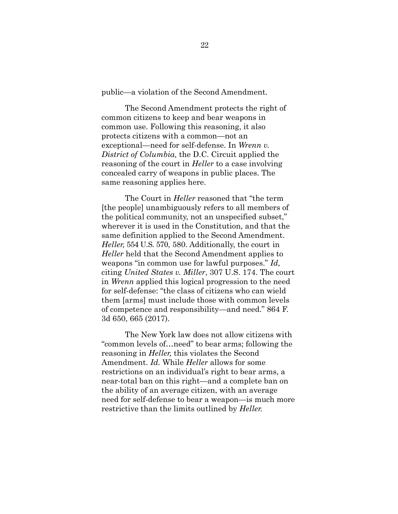public—a violation of the Second Amendment.

The Second Amendment protects the right of common citizens to keep and bear weapons in common use. Following this reasoning, it also protects citizens with a common—not an exceptional—need for self-defense. In *Wrenn v. District of Columbia,* the D.C. Circuit applied the reasoning of the court in *Heller* to a case involving concealed carry of weapons in public places. The same reasoning applies here.

The Court in *Heller* reasoned that "the term [the people] unambiguously refers to all members of the political community, not an unspecified subset," wherever it is used in the Constitution, and that the same definition applied to the Second Amendment. *Heller,* 554 U.S. 570, 580. Additionally, the court in *Heller* held that the Second Amendment applies to weapons "in common use for lawful purposes." *Id,* citing *United States v. Miller*, 307 U.S. 174. The court in *Wrenn* applied this logical progression to the need for self-defense: "the class of citizens who can wield them [arms] must include those with common levels of competence and responsibility—and need." 864 F. 3d 650, 665 (2017).

The New York law does not allow citizens with "common levels of…need" to bear arms; following the reasoning in *Heller,* this violates the Second Amendment. *Id.* While *Heller* allows for some restrictions on an individual's right to bear arms, a near-total ban on this right—and a complete ban on the ability of an average citizen, with an average need for self-defense to bear a weapon—is much more restrictive than the limits outlined by *Heller.*